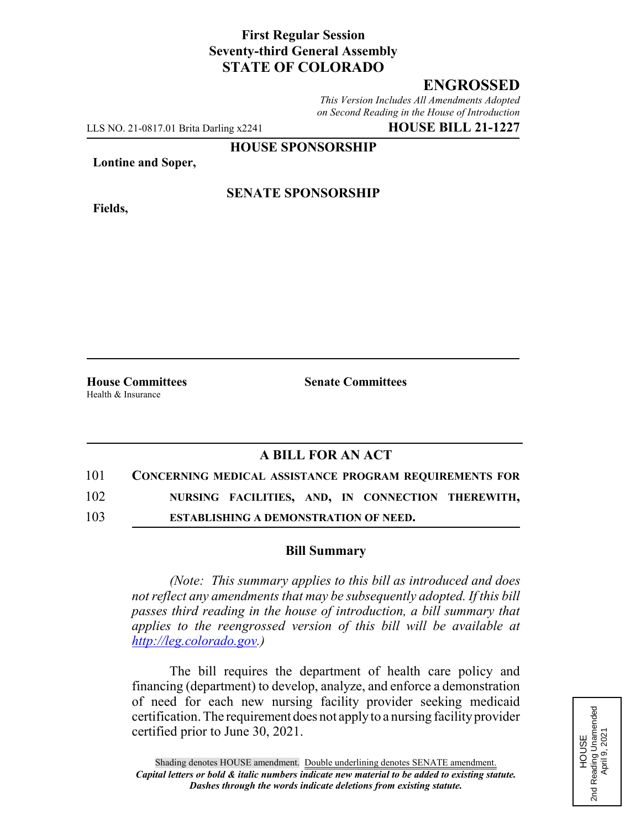### **First Regular Session Seventy-third General Assembly STATE OF COLORADO**

## **ENGROSSED**

*This Version Includes All Amendments Adopted on Second Reading in the House of Introduction*

LLS NO. 21-0817.01 Brita Darling x2241 **HOUSE BILL 21-1227**

**HOUSE SPONSORSHIP**

**Lontine and Soper,**

**Fields,**

### **SENATE SPONSORSHIP**

Health & Insurance

**House Committees Senate Committees**

# **A BILL FOR AN ACT**

| 101 | <b>CONCERNING MEDICAL ASSISTANCE PROGRAM REQUIREMENTS FOR</b> |  |                                                   |  |
|-----|---------------------------------------------------------------|--|---------------------------------------------------|--|
| 102 |                                                               |  | NURSING FACILITIES, AND, IN CONNECTION THEREWITH, |  |

103 **ESTABLISHING A DEMONSTRATION OF NEED.**

#### **Bill Summary**

*(Note: This summary applies to this bill as introduced and does not reflect any amendments that may be subsequently adopted. If this bill passes third reading in the house of introduction, a bill summary that applies to the reengrossed version of this bill will be available at http://leg.colorado.gov.)*

The bill requires the department of health care policy and financing (department) to develop, analyze, and enforce a demonstration of need for each new nursing facility provider seeking medicaid certification. The requirement does not apply to a nursing facility provider certified prior to June 30, 2021.

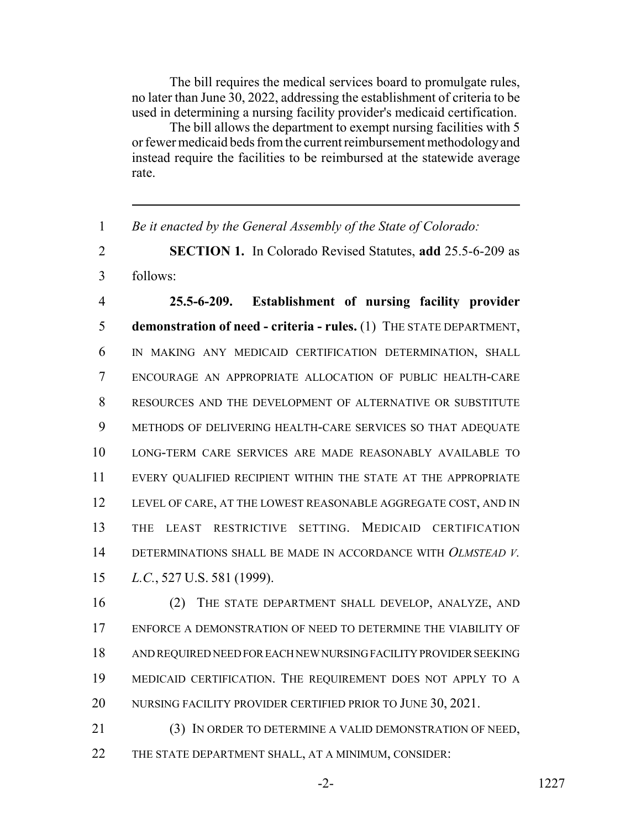The bill requires the medical services board to promulgate rules, no later than June 30, 2022, addressing the establishment of criteria to be used in determining a nursing facility provider's medicaid certification.

The bill allows the department to exempt nursing facilities with 5 or fewer medicaid beds from the current reimbursement methodology and instead require the facilities to be reimbursed at the statewide average rate.

*Be it enacted by the General Assembly of the State of Colorado:*

 **SECTION 1.** In Colorado Revised Statutes, **add** 25.5-6-209 as follows:

 **25.5-6-209. Establishment of nursing facility provider demonstration of need - criteria - rules.** (1) THE STATE DEPARTMENT, IN MAKING ANY MEDICAID CERTIFICATION DETERMINATION, SHALL ENCOURAGE AN APPROPRIATE ALLOCATION OF PUBLIC HEALTH-CARE RESOURCES AND THE DEVELOPMENT OF ALTERNATIVE OR SUBSTITUTE METHODS OF DELIVERING HEALTH-CARE SERVICES SO THAT ADEQUATE LONG-TERM CARE SERVICES ARE MADE REASONABLY AVAILABLE TO EVERY QUALIFIED RECIPIENT WITHIN THE STATE AT THE APPROPRIATE LEVEL OF CARE, AT THE LOWEST REASONABLE AGGREGATE COST, AND IN THE LEAST RESTRICTIVE SETTING. MEDICAID CERTIFICATION DETERMINATIONS SHALL BE MADE IN ACCORDANCE WITH *OLMSTEAD V. L.C.*, 527 U.S. 581 (1999).

 (2) THE STATE DEPARTMENT SHALL DEVELOP, ANALYZE, AND ENFORCE A DEMONSTRATION OF NEED TO DETERMINE THE VIABILITY OF AND REQUIRED NEED FOR EACH NEW NURSING FACILITY PROVIDER SEEKING MEDICAID CERTIFICATION. THE REQUIREMENT DOES NOT APPLY TO A 20 NURSING FACILITY PROVIDER CERTIFIED PRIOR TO JUNE 30, 2021.

 (3) IN ORDER TO DETERMINE A VALID DEMONSTRATION OF NEED, THE STATE DEPARTMENT SHALL, AT A MINIMUM, CONSIDER: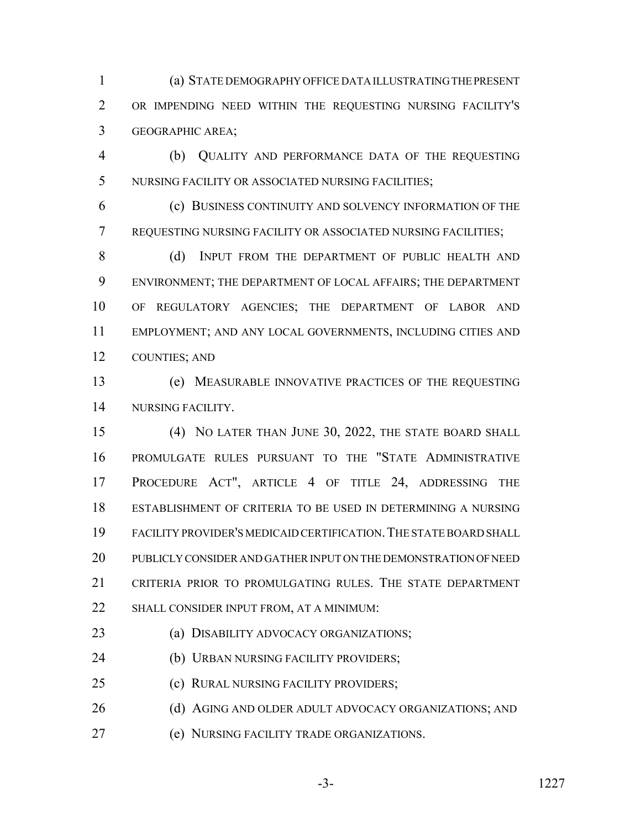(a) STATE DEMOGRAPHY OFFICE DATA ILLUSTRATING THE PRESENT OR IMPENDING NEED WITHIN THE REQUESTING NURSING FACILITY'S GEOGRAPHIC AREA;

 (b) QUALITY AND PERFORMANCE DATA OF THE REQUESTING NURSING FACILITY OR ASSOCIATED NURSING FACILITIES;

 (c) BUSINESS CONTINUITY AND SOLVENCY INFORMATION OF THE REQUESTING NURSING FACILITY OR ASSOCIATED NURSING FACILITIES;

8 (d) INPUT FROM THE DEPARTMENT OF PUBLIC HEALTH AND ENVIRONMENT; THE DEPARTMENT OF LOCAL AFFAIRS; THE DEPARTMENT OF REGULATORY AGENCIES; THE DEPARTMENT OF LABOR AND EMPLOYMENT; AND ANY LOCAL GOVERNMENTS, INCLUDING CITIES AND COUNTIES; AND

 (e) MEASURABLE INNOVATIVE PRACTICES OF THE REQUESTING NURSING FACILITY.

 (4) NO LATER THAN JUNE 30, 2022, THE STATE BOARD SHALL PROMULGATE RULES PURSUANT TO THE "STATE ADMINISTRATIVE PROCEDURE ACT", ARTICLE 4 OF TITLE 24, ADDRESSING THE ESTABLISHMENT OF CRITERIA TO BE USED IN DETERMINING A NURSING FACILITY PROVIDER'S MEDICAID CERTIFICATION.THE STATE BOARD SHALL PUBLICLY CONSIDER AND GATHER INPUT ON THE DEMONSTRATION OF NEED CRITERIA PRIOR TO PROMULGATING RULES. THE STATE DEPARTMENT 22 SHALL CONSIDER INPUT FROM, AT A MINIMUM:

(a) DISABILITY ADVOCACY ORGANIZATIONS;

(b) URBAN NURSING FACILITY PROVIDERS;

(c) RURAL NURSING FACILITY PROVIDERS;

26 (d) AGING AND OLDER ADULT ADVOCACY ORGANIZATIONS; AND

(e) NURSING FACILITY TRADE ORGANIZATIONS.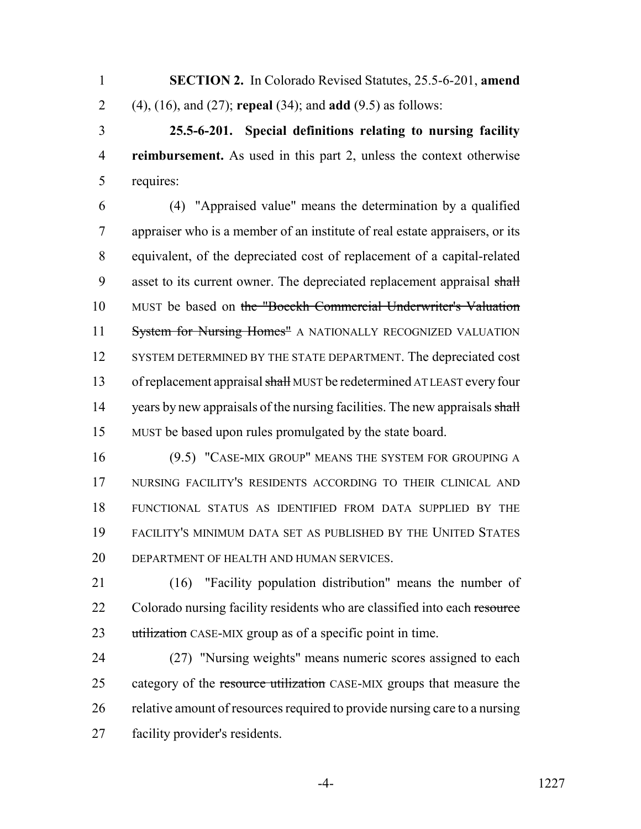**SECTION 2.** In Colorado Revised Statutes, 25.5-6-201, **amend** (4), (16), and (27); **repeal** (34); and **add** (9.5) as follows:

 **25.5-6-201. Special definitions relating to nursing facility reimbursement.** As used in this part 2, unless the context otherwise requires:

 (4) "Appraised value" means the determination by a qualified appraiser who is a member of an institute of real estate appraisers, or its equivalent, of the depreciated cost of replacement of a capital-related 9 asset to its current owner. The depreciated replacement appraisal shall MUST be based on the "Boeckh Commercial Underwriter's Valuation 11 System for Nursing Homes" A NATIONALLY RECOGNIZED VALUATION 12 SYSTEM DETERMINED BY THE STATE DEPARTMENT. The depreciated cost 13 of replacement appraisal shall MUST be redetermined AT LEAST every four 14 years by new appraisals of the nursing facilities. The new appraisals shall MUST be based upon rules promulgated by the state board.

 (9.5) "CASE-MIX GROUP" MEANS THE SYSTEM FOR GROUPING A NURSING FACILITY'S RESIDENTS ACCORDING TO THEIR CLINICAL AND FUNCTIONAL STATUS AS IDENTIFIED FROM DATA SUPPLIED BY THE FACILITY'S MINIMUM DATA SET AS PUBLISHED BY THE UNITED STATES DEPARTMENT OF HEALTH AND HUMAN SERVICES.

 (16) "Facility population distribution" means the number of 22 Colorado nursing facility residents who are classified into each resource 23 utilization CASE-MIX group as of a specific point in time.

 (27) "Nursing weights" means numeric scores assigned to each 25 category of the resource utilization CASE-MIX groups that measure the relative amount of resources required to provide nursing care to a nursing facility provider's residents.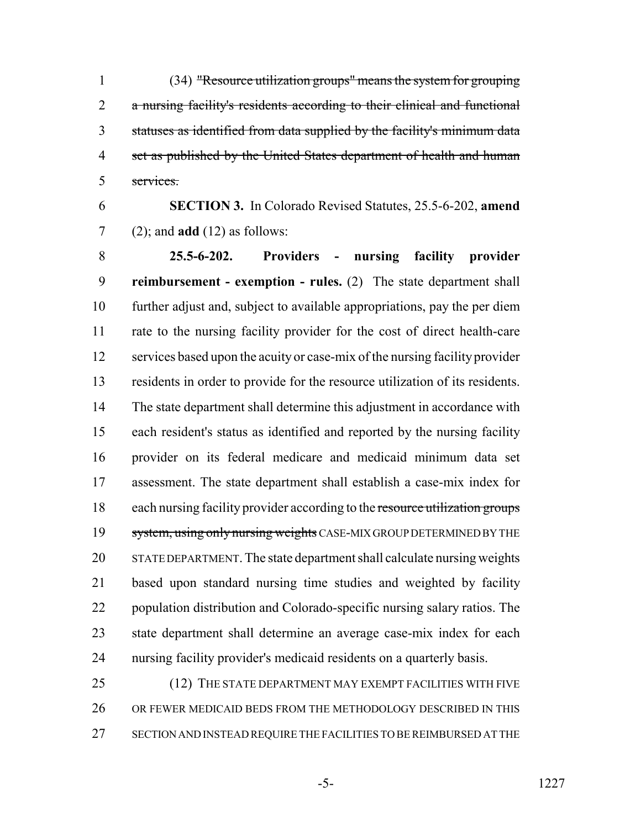(34) "Resource utilization groups" means the system for grouping a nursing facility's residents according to their clinical and functional statuses as identified from data supplied by the facility's minimum data 4 set as published by the United States department of health and human services.

 **SECTION 3.** In Colorado Revised Statutes, 25.5-6-202, **amend** (2); and **add** (12) as follows:

 **25.5-6-202. Providers - nursing facility provider reimbursement - exemption - rules.** (2) The state department shall further adjust and, subject to available appropriations, pay the per diem rate to the nursing facility provider for the cost of direct health-care services based upon the acuity or case-mix of the nursing facility provider residents in order to provide for the resource utilization of its residents. The state department shall determine this adjustment in accordance with each resident's status as identified and reported by the nursing facility provider on its federal medicare and medicaid minimum data set assessment. The state department shall establish a case-mix index for 18 each nursing facility provider according to the resource utilization groups 19 system, using only nursing weights CASE-MIX GROUP DETERMINED BY THE STATE DEPARTMENT. The state department shall calculate nursing weights based upon standard nursing time studies and weighted by facility population distribution and Colorado-specific nursing salary ratios. The state department shall determine an average case-mix index for each nursing facility provider's medicaid residents on a quarterly basis.

25 (12) THE STATE DEPARTMENT MAY EXEMPT FACILITIES WITH FIVE OR FEWER MEDICAID BEDS FROM THE METHODOLOGY DESCRIBED IN THIS SECTION AND INSTEAD REQUIRE THE FACILITIES TO BE REIMBURSED AT THE